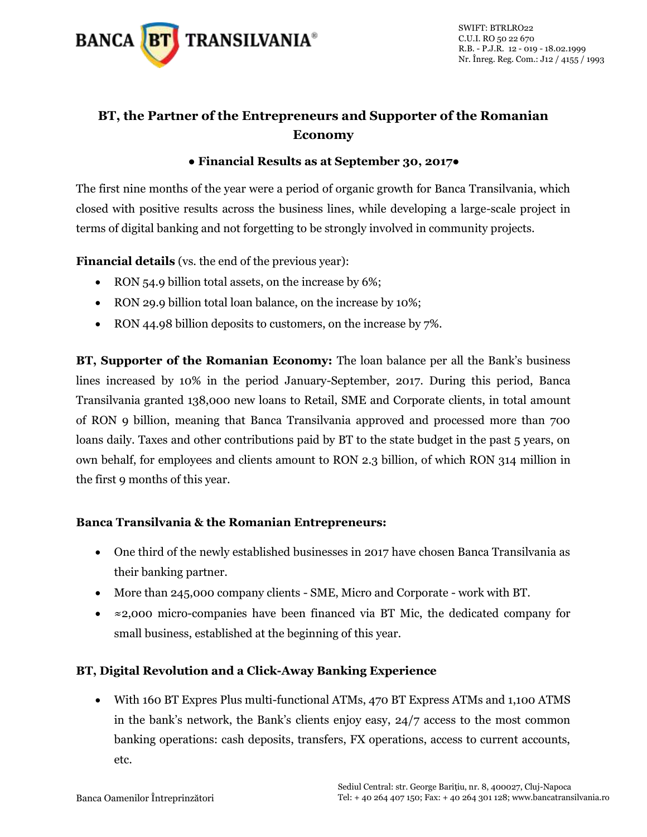

# **BT, the Partner of the Entrepreneurs and Supporter of the Romanian Economy**

#### **● Financial Results as at September 30, 2017●**

The first nine months of the year were a period of organic growth for Banca Transilvania, which closed with positive results across the business lines, while developing a large-scale project in terms of digital banking and not forgetting to be strongly involved in community projects.

**Financial details** (vs. the end of the previous year):

- RON 54.9 billion total assets, on the increase by 6%;
- RON 29.9 billion total loan balance, on the increase by 10%;
- RON 44.98 billion deposits to customers, on the increase by 7%.

**BT, Supporter of the Romanian Economy:** The loan balance per all the Bank's business lines increased by 10% in the period January-September, 2017. During this period, Banca Transilvania granted 138,000 new loans to Retail, SME and Corporate clients, in total amount of RON 9 billion, meaning that Banca Transilvania approved and processed more than 700 loans daily. Taxes and other contributions paid by BT to the state budget in the past 5 years, on own behalf, for employees and clients amount to RON 2.3 billion, of which RON 314 million in the first 9 months of this year.

## **Banca Transilvania & the Romanian Entrepreneurs:**

- One third of the newly established businesses in 2017 have chosen Banca Transilvania as their banking partner.
- More than 245,000 company clients SME, Micro and Corporate work with BT.
- ≈2,000 micro-companies have been financed via BT Mic, the dedicated company for small business, established at the beginning of this year.

## **BT, Digital Revolution and a Click-Away Banking Experience**

 With 160 BT Expres Plus multi-functional ATMs, 470 BT Express ATMs and 1,100 ATMS in the bank's network, the Bank's clients enjoy easy, 24/7 access to the most common banking operations: cash deposits, transfers, FX operations, access to current accounts, etc.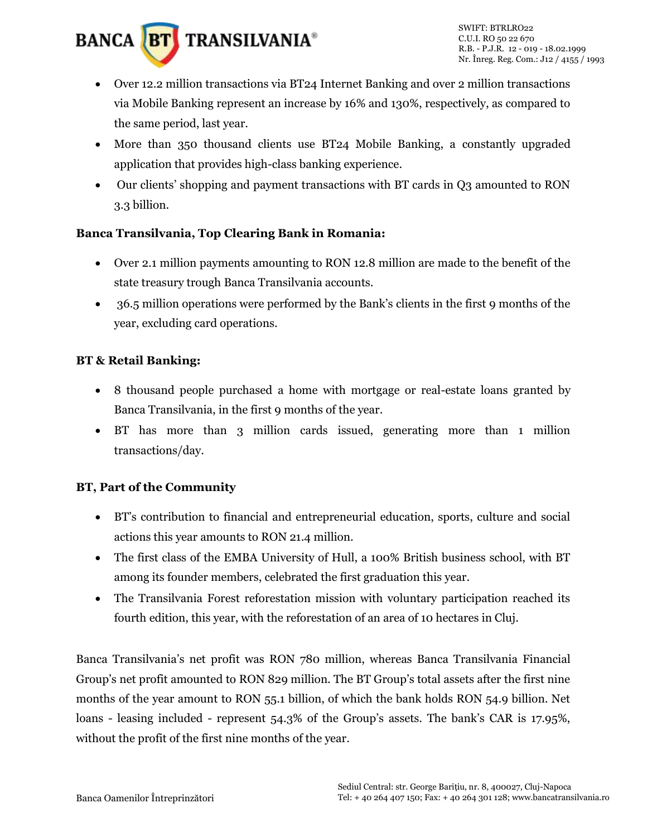

- Over 12.2 million transactions via BT24 Internet Banking and over 2 million transactions via Mobile Banking represent an increase by 16% and 130%, respectively, as compared to the same period, last year.
- More than 350 thousand clients use BT24 Mobile Banking, a constantly upgraded application that provides high-class banking experience.
- Our clients' shopping and payment transactions with BT cards in Q3 amounted to RON 3.3 billion.

#### **Banca Transilvania, Top Clearing Bank in Romania:**

- Over 2.1 million payments amounting to RON 12.8 million are made to the benefit of the state treasury trough Banca Transilvania accounts.
- 36.5 million operations were performed by the Bank's clients in the first 9 months of the year, excluding card operations.

## **BT & Retail Banking:**

- 8 thousand people purchased a home with mortgage or real-estate loans granted by Banca Transilvania, in the first 9 months of the year.
- BT has more than 3 million cards issued, generating more than 1 million transactions/day.

## **BT, Part of the Community**

- BT's contribution to financial and entrepreneurial education, sports, culture and social actions this year amounts to RON 21.4 million.
- The first class of the EMBA University of Hull, a 100% British business school, with BT among its founder members, celebrated the first graduation this year.
- The Transilvania Forest reforestation mission with voluntary participation reached its fourth edition, this year, with the reforestation of an area of 10 hectares in Cluj.

Banca Transilvania's net profit was RON 780 million, whereas Banca Transilvania Financial Group's net profit amounted to RON 829 million. The BT Group's total assets after the first nine months of the year amount to RON 55.1 billion, of which the bank holds RON 54.9 billion. Net loans - leasing included - represent 54.3% of the Group's assets. The bank's CAR is 17.95%, without the profit of the first nine months of the year.